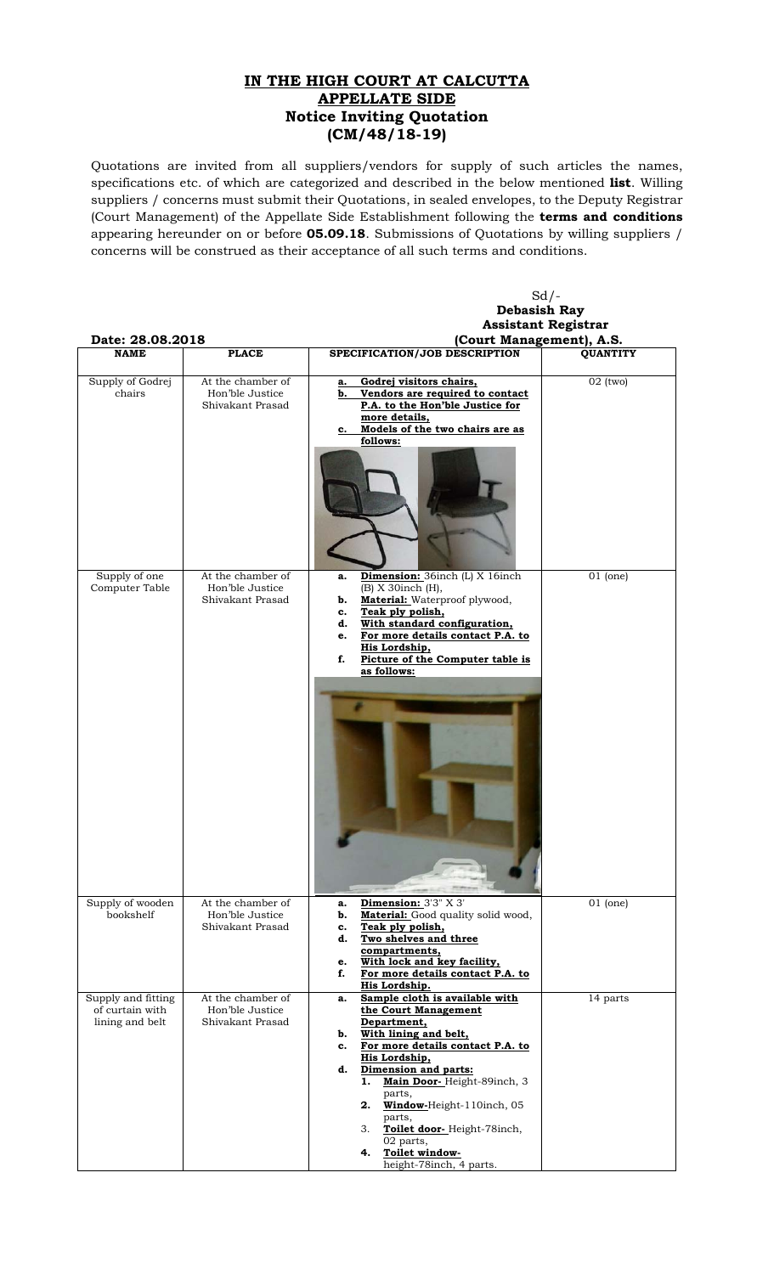## **IN THE HIGH COURT AT CALCUTTA APPELLATE SIDE Notice Inviting Quotation (CM/48/18-19)**

Quotations are invited from all suppliers/vendors for supply of such articles the names, specifications etc. of which are categorized and described in the below mentioned **list**. Willing suppliers / concerns must submit their Quotations, in sealed envelopes, to the Deputy Registrar (Court Management) of the Appellate Side Establishment following the **terms and conditions** appearing hereunder on or before **05.09.18**. Submissions of Quotations by willing suppliers / concerns will be construed as their acceptance of all such terms and conditions.

|                                                          |                                                          | $Sd$ /-                                                                                                                                                                                                                                                                                     |                 |
|----------------------------------------------------------|----------------------------------------------------------|---------------------------------------------------------------------------------------------------------------------------------------------------------------------------------------------------------------------------------------------------------------------------------------------|-----------------|
|                                                          |                                                          | <b>Debasish Ray</b>                                                                                                                                                                                                                                                                         |                 |
|                                                          | <b>Assistant Registrar</b>                               |                                                                                                                                                                                                                                                                                             |                 |
| Date: 28.08.2018                                         |                                                          | (Court Management), A.S.                                                                                                                                                                                                                                                                    |                 |
| <b>NAME</b>                                              | <b>PLACE</b>                                             | SPECIFICATION/JOB DESCRIPTION                                                                                                                                                                                                                                                               | <b>QUANTITY</b> |
| Supply of Godrej<br>chairs                               | At the chamber of<br>Hon'ble Justice<br>Shivakant Prasad | Godrej visitors chairs,<br>a.<br>Vendors are required to contact<br>b.<br>P.A. to the Hon'ble Justice for<br>more details,<br>Models of the two chairs are as<br>c.<br>follows:                                                                                                             | $02$ (two)      |
|                                                          |                                                          |                                                                                                                                                                                                                                                                                             |                 |
| Supply of one<br>Computer Table                          | At the chamber of<br>Hon'ble Justice<br>Shivakant Prasad | Dimension: 36inch (L) X 16inch<br>a.<br>(B) X 30inch (H),<br><b>Material:</b> Waterproof plywood,<br>b.<br>Teak ply polish,<br>c.<br>With standard configuration,<br>d.<br>For more details contact P.A. to<br>e.<br>His Lordship,<br>Picture of the Computer table is<br>f.<br>as follows: | $01$ (one)      |
|                                                          |                                                          |                                                                                                                                                                                                                                                                                             |                 |
| Supply of wooden<br>bookshelf                            | At the chamber of<br>Hon'ble Justice<br>Shivakant Prasad | Dimension: 3'3" X 3'<br>a.<br>Material: Good quality solid wood,<br>b.<br>Teak ply polish,<br>c.                                                                                                                                                                                            | $01$ (one)      |
|                                                          |                                                          | Two shelves and three<br>d.<br>compartments,<br>With lock and key facility,<br>e.                                                                                                                                                                                                           |                 |
|                                                          |                                                          | f.<br>For more details contact P.A. to<br>His Lordship.                                                                                                                                                                                                                                     |                 |
| Supply and fitting<br>of curtain with<br>lining and belt | At the chamber of<br>Hon'ble Justice<br>Shivakant Prasad | Sample cloth is available with<br>a.<br>the Court Management<br>Department,<br>With lining and belt,<br>b.<br>For more details contact P.A. to<br>c.<br>His Lordship,<br>Dimension and parts:<br>d.                                                                                         | 14 parts        |
|                                                          |                                                          | Main Door-Height-89inch, 3<br>1.<br>parts,<br>2. Window-Height-110inch, 05<br>parts,<br>Toilet door-Height-78inch,<br>3.<br>02 parts,<br>Toilet window-<br>4.<br>height-78inch, 4 parts.                                                                                                    |                 |